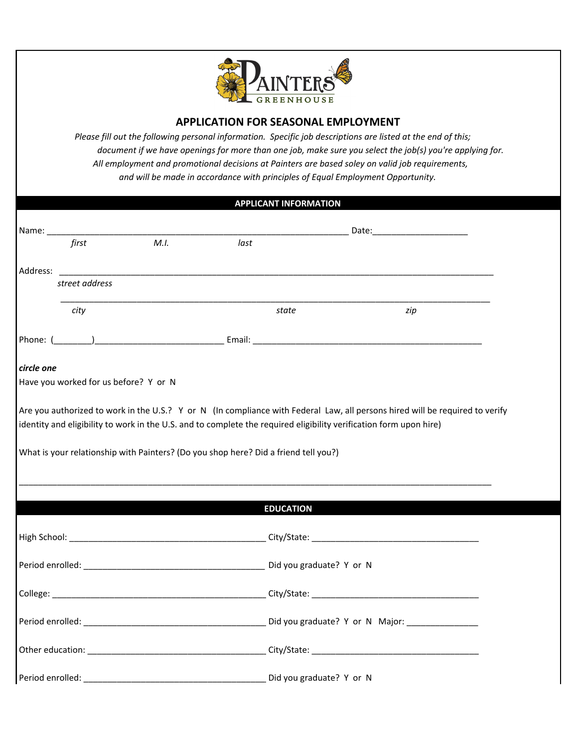

## **APPLICATION FOR SEASONAL EMPLOYMENT**

*Please fill out the following personal information. Specific job descriptions are listed at the end of this; document if we have openings for more than one job, make sure you select the job(s) you're applying for. All employment and promotional decisions at Painters are based soley on valid job requirements, and will be made in accordance with principles of Equal Employment Opportunity.* 

## **APPLICANT INFORMATION**

| first                                                                               | M.I. | last             |                                                                                                                    |     |
|-------------------------------------------------------------------------------------|------|------------------|--------------------------------------------------------------------------------------------------------------------|-----|
| Address:                                                                            |      |                  |                                                                                                                    |     |
| street address                                                                      |      |                  |                                                                                                                    |     |
| city                                                                                |      | state            |                                                                                                                    | zip |
|                                                                                     |      |                  |                                                                                                                    |     |
| circle one                                                                          |      |                  |                                                                                                                    |     |
| Have you worked for us before? Y or N                                               |      |                  |                                                                                                                    |     |
|                                                                                     |      |                  | identity and eligibility to work in the U.S. and to complete the required eligibility verification form upon hire) |     |
|                                                                                     |      | <b>EDUCATION</b> |                                                                                                                    |     |
|                                                                                     |      |                  | High School: City/State: City/State:                                                                               |     |
| What is your relationship with Painters? (Do you shop here? Did a friend tell you?) |      |                  |                                                                                                                    |     |
|                                                                                     |      |                  |                                                                                                                    |     |
|                                                                                     |      |                  |                                                                                                                    |     |
|                                                                                     |      |                  |                                                                                                                    |     |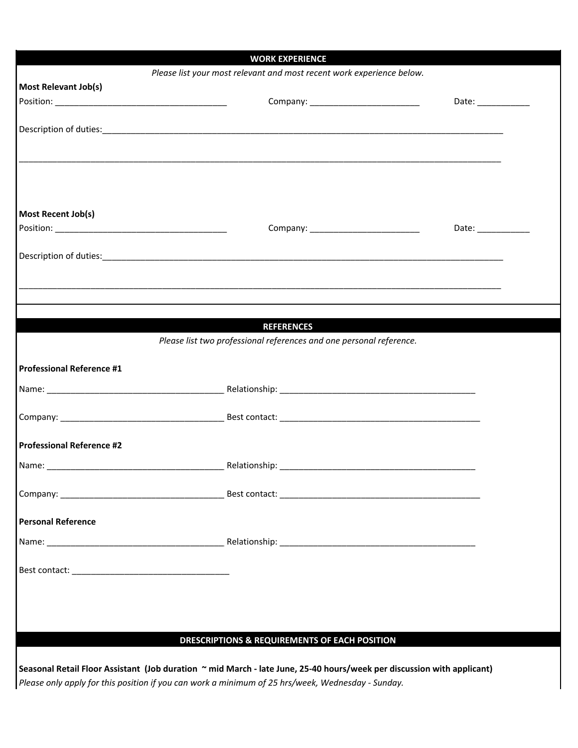|                                  | <b>WORK EXPERIENCE</b>                                                                                                 |                      |
|----------------------------------|------------------------------------------------------------------------------------------------------------------------|----------------------|
|                                  | Please list your most relevant and most recent work experience below.                                                  |                      |
| Most Relevant Job(s)             |                                                                                                                        |                      |
|                                  |                                                                                                                        | Date: ______________ |
|                                  |                                                                                                                        |                      |
|                                  |                                                                                                                        |                      |
|                                  |                                                                                                                        |                      |
|                                  |                                                                                                                        |                      |
|                                  |                                                                                                                        |                      |
|                                  |                                                                                                                        |                      |
| Most Recent Job(s)               |                                                                                                                        |                      |
|                                  | Company: ___________________________                                                                                   | Date: _____________  |
|                                  |                                                                                                                        |                      |
|                                  |                                                                                                                        |                      |
|                                  |                                                                                                                        |                      |
|                                  |                                                                                                                        |                      |
|                                  |                                                                                                                        |                      |
|                                  |                                                                                                                        |                      |
|                                  | <b>REFERENCES</b>                                                                                                      |                      |
|                                  | Please list two professional references and one personal reference.                                                    |                      |
|                                  |                                                                                                                        |                      |
| <b>Professional Reference #1</b> |                                                                                                                        |                      |
|                                  |                                                                                                                        |                      |
|                                  |                                                                                                                        |                      |
|                                  |                                                                                                                        |                      |
|                                  |                                                                                                                        |                      |
| <b>Professional Reference #2</b> |                                                                                                                        |                      |
|                                  |                                                                                                                        |                      |
|                                  |                                                                                                                        |                      |
|                                  |                                                                                                                        |                      |
|                                  |                                                                                                                        |                      |
| <b>Personal Reference</b>        |                                                                                                                        |                      |
|                                  |                                                                                                                        |                      |
|                                  |                                                                                                                        |                      |
|                                  |                                                                                                                        |                      |
|                                  |                                                                                                                        |                      |
|                                  |                                                                                                                        |                      |
|                                  |                                                                                                                        |                      |
|                                  |                                                                                                                        |                      |
|                                  | <b>DRESCRIPTIONS &amp; REQUIREMENTS OF EACH POSITION</b>                                                               |                      |
|                                  |                                                                                                                        |                      |
|                                  | Seasonal Retail Floor Assistant (Job duration ~ mid March - late June, 25-40 hours/week per discussion with applicant) |                      |

*Please only apply for this position if you can work a minimum of 25 hrs/week, Wednesday - Sunday.*